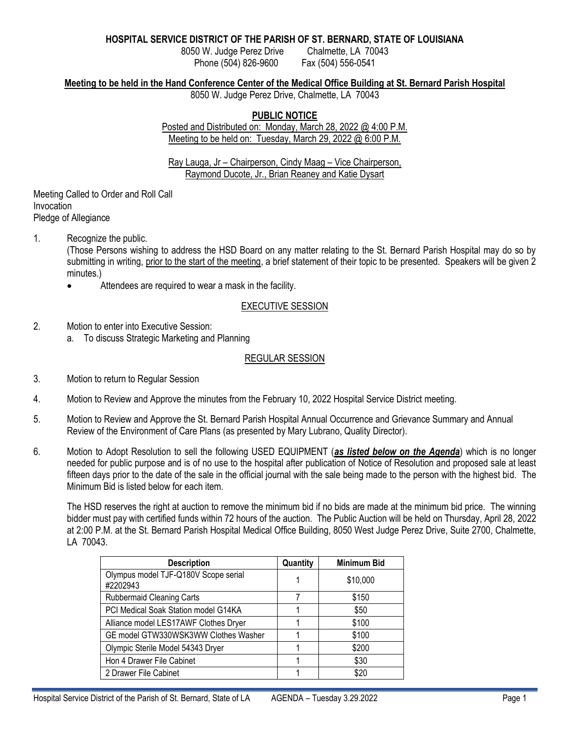### **HOSPITAL SERVICE DISTRICT OF THE PARISH OF ST. BERNARD, STATE OF LOUISIANA**

8050 W. Judge Perez Drive Chalmette, LA 70043 Phone (504) 826-9600 Fax (504) 556-0541

### **Meeting to be held in the Hand Conference Center of the Medical Office Building at St. Bernard Parish Hospital**

8050 W. Judge Perez Drive, Chalmette, LA 70043

# **PUBLIC NOTICE**

Posted and Distributed on: Monday, March 28, 2022 @ 4:00 P.M. Meeting to be held on: Tuesday, March 29, 2022 @ 6:00 P.M.

Ray Lauga, Jr – Chairperson, Cindy Maag – Vice Chairperson, Raymond Ducote, Jr., Brian Reaney and Katie Dysart

Meeting Called to Order and Roll Call Invocation Pledge of Allegiance

1. Recognize the public.

(Those Persons wishing to address the HSD Board on any matter relating to the St. Bernard Parish Hospital may do so by submitting in writing, prior to the start of the meeting, a brief statement of their topic to be presented. Speakers will be given 2 minutes.)

Attendees are required to wear a mask in the facility.

# EXECUTIVE SESSION

- 2. Motion to enter into Executive Session:
	- a. To discuss Strategic Marketing and Planning

### REGULAR SESSION

- 3. Motion to return to Regular Session
- 4. Motion to Review and Approve the minutes from the February 10, 2022 Hospital Service District meeting.
- 5. Motion to Review and Approve the St. Bernard Parish Hospital Annual Occurrence and Grievance Summary and Annual Review of the Environment of Care Plans (as presented by Mary Lubrano, Quality Director).
- 6. Motion to Adopt Resolution to sell the following USED EQUIPMENT (*as listed below on the Agenda*) which is no longer needed for public purpose and is of no use to the hospital after publication of Notice of Resolution and proposed sale at least fifteen days prior to the date of the sale in the official journal with the sale being made to the person with the highest bid. The Minimum Bid is listed below for each item.

The HSD reserves the right at auction to remove the minimum bid if no bids are made at the minimum bid price. The winning bidder must pay with certified funds within 72 hours of the auction. The Public Auction will be held on Thursday, April 28, 2022 at 2:00 P.M. at the St. Bernard Parish Hospital Medical Office Building, 8050 West Judge Perez Drive, Suite 2700, Chalmette, LA 70043.

| <b>Description</b>                               | Quantity | <b>Minimum Bid</b> |
|--------------------------------------------------|----------|--------------------|
| Olympus model TJF-Q180V Scope serial<br>#2202943 |          | \$10,000           |
| Rubbermaid Cleaning Carts                        | 7        | \$150              |
| PCI Medical Soak Station model G14KA             |          | \$50               |
| Alliance model LES17AWF Clothes Dryer            |          | \$100              |
| GE model GTW330WSK3WW Clothes Washer             |          | \$100              |
| Olympic Sterile Model 54343 Dryer                |          | \$200              |
| Hon 4 Drawer File Cabinet                        |          | \$30               |
| 2 Drawer File Cabinet                            |          | \$20               |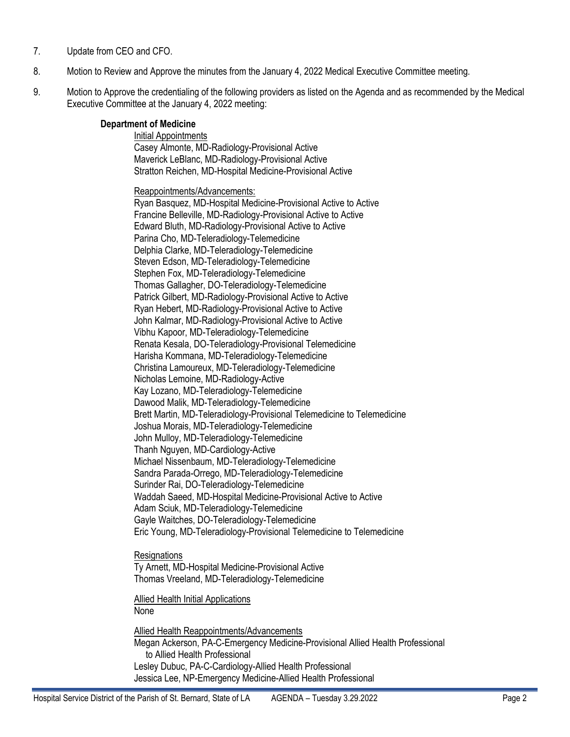- 7. Update from CEO and CFO.
- 8. Motion to Review and Approve the minutes from the January 4, 2022 Medical Executive Committee meeting.
- 9. Motion to Approve the credentialing of the following providers as listed on the Agenda and as recommended by the Medical Executive Committee at the January 4, 2022 meeting:

# **Department of Medicine**

Initial Appointments Casey Almonte, MD-Radiology-Provisional Active Maverick LeBlanc, MD-Radiology-Provisional Active Stratton Reichen, MD-Hospital Medicine-Provisional Active

Reappointments/Advancements:

Ryan Basquez, MD-Hospital Medicine-Provisional Active to Active Francine Belleville, MD-Radiology-Provisional Active to Active Edward Bluth, MD-Radiology-Provisional Active to Active Parina Cho, MD-Teleradiology-Telemedicine Delphia Clarke, MD-Teleradiology-Telemedicine Steven Edson, MD-Teleradiology-Telemedicine Stephen Fox, MD-Teleradiology-Telemedicine Thomas Gallagher, DO-Teleradiology-Telemedicine Patrick Gilbert, MD-Radiology-Provisional Active to Active Ryan Hebert, MD-Radiology-Provisional Active to Active John Kalmar, MD-Radiology-Provisional Active to Active Vibhu Kapoor, MD-Teleradiology-Telemedicine Renata Kesala, DO-Teleradiology-Provisional Telemedicine Harisha Kommana, MD-Teleradiology-Telemedicine Christina Lamoureux, MD-Teleradiology-Telemedicine Nicholas Lemoine, MD-Radiology-Active Kay Lozano, MD-Teleradiology-Telemedicine Dawood Malik, MD-Teleradiology-Telemedicine Brett Martin, MD-Teleradiology-Provisional Telemedicine to Telemedicine Joshua Morais, MD-Teleradiology-Telemedicine John Mulloy, MD-Teleradiology-Telemedicine Thanh Nguyen, MD-Cardiology-Active Michael Nissenbaum, MD-Teleradiology-Telemedicine Sandra Parada-Orrego, MD-Teleradiology-Telemedicine Surinder Rai, DO-Teleradiology-Telemedicine Waddah Saeed, MD-Hospital Medicine-Provisional Active to Active Adam Sciuk, MD-Teleradiology-Telemedicine Gayle Waitches, DO-Teleradiology-Telemedicine Eric Young, MD-Teleradiology-Provisional Telemedicine to Telemedicine

**Resignations** 

Ty Arnett, MD-Hospital Medicine-Provisional Active Thomas Vreeland, MD-Teleradiology-Telemedicine

Allied Health Initial Applications None

Allied Health Reappointments/Advancements Megan Ackerson, PA-C-Emergency Medicine-Provisional Allied Health Professional to Allied Health Professional Lesley Dubuc, PA-C-Cardiology-Allied Health Professional Jessica Lee, NP-Emergency Medicine-Allied Health Professional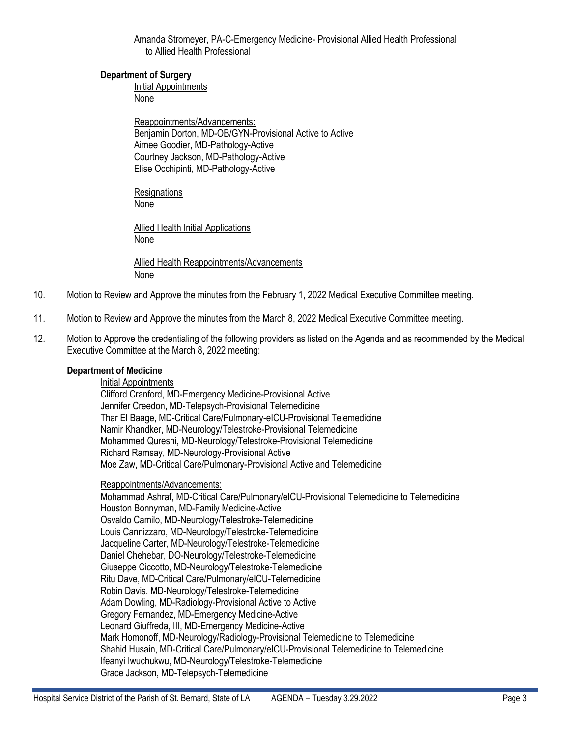Amanda Stromeyer, PA-C-Emergency Medicine- Provisional Allied Health Professional to Allied Health Professional

### **Department of Surgery**

Initial Appointments None

Reappointments/Advancements: Benjamin Dorton, MD-OB/GYN-Provisional Active to Active Aimee Goodier, MD-Pathology-Active Courtney Jackson, MD-Pathology-Active Elise Occhipinti, MD-Pathology-Active

Resignations None

Allied Health Initial Applications None

Allied Health Reappointments/Advancements None

- 10. Motion to Review and Approve the minutes from the February 1, 2022 Medical Executive Committee meeting.
- 11. Motion to Review and Approve the minutes from the March 8, 2022 Medical Executive Committee meeting.
- 12. Motion to Approve the credentialing of the following providers as listed on the Agenda and as recommended by the Medical Executive Committee at the March 8, 2022 meeting:

# **Department of Medicine**

## Initial Appointments

Clifford Cranford, MD-Emergency Medicine-Provisional Active Jennifer Creedon, MD-Telepsych-Provisional Telemedicine Thar El Baage, MD-Critical Care/Pulmonary-eICU-Provisional Telemedicine Namir Khandker, MD-Neurology/Telestroke-Provisional Telemedicine Mohammed Qureshi, MD-Neurology/Telestroke-Provisional Telemedicine Richard Ramsay, MD-Neurology-Provisional Active Moe Zaw, MD-Critical Care/Pulmonary-Provisional Active and Telemedicine

#### Reappointments/Advancements:

Mohammad Ashraf, MD-Critical Care/Pulmonary/eICU-Provisional Telemedicine to Telemedicine Houston Bonnyman, MD-Family Medicine-Active Osvaldo Camilo, MD-Neurology/Telestroke-Telemedicine Louis Cannizzaro, MD-Neurology/Telestroke-Telemedicine Jacqueline Carter, MD-Neurology/Telestroke-Telemedicine Daniel Chehebar, DO-Neurology/Telestroke-Telemedicine Giuseppe Ciccotto, MD-Neurology/Telestroke-Telemedicine Ritu Dave, MD-Critical Care/Pulmonary/eICU-Telemedicine Robin Davis, MD-Neurology/Telestroke-Telemedicine Adam Dowling, MD-Radiology-Provisional Active to Active Gregory Fernandez, MD-Emergency Medicine-Active Leonard Giuffreda, III, MD-Emergency Medicine-Active Mark Homonoff, MD-Neurology/Radiology-Provisional Telemedicine to Telemedicine Shahid Husain, MD-Critical Care/Pulmonary/eICU-Provisional Telemedicine to Telemedicine Ifeanyi Iwuchukwu, MD-Neurology/Telestroke-Telemedicine Grace Jackson, MD-Telepsych-Telemedicine